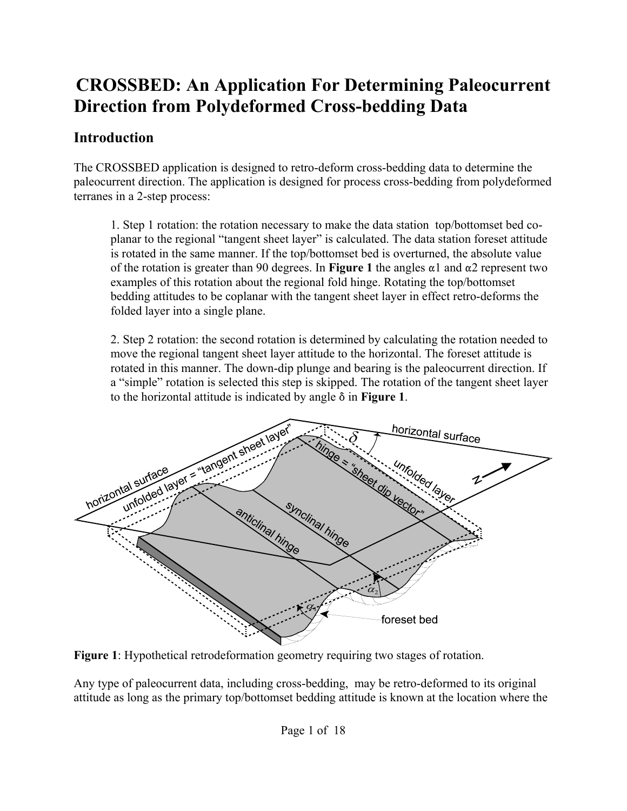### **Introduction**

The CROSSBED application is designed to retro-deform cross-bedding data to determine the paleocurrent direction. The application is designed for process cross-bedding from polydeformed terranes in a 2-step process:

1. Step 1 rotation: the rotation necessary to make the data station top/bottomset bed coplanar to the regional "tangent sheet layer" is calculated. The data station foreset attitude is rotated in the same manner. If the top/bottomset bed is overturned, the absolute value of the rotation is greater than 90 degrees. In **Figure 1** the angles  $\alpha$ 1 and  $\alpha$ 2 represent two examples of this rotation about the regional fold hinge. Rotating the top/bottomset bedding attitudes to be coplanar with the tangent sheet layer in effect retro-deforms the folded layer into a single plane.

2. Step 2 rotation: the second rotation is determined by calculating the rotation needed to move the regional tangent sheet layer attitude to the horizontal. The foreset attitude is rotated in this manner. The down-dip plunge and bearing is the paleocurrent direction. If a "simple" rotation is selected this step is skipped. The rotation of the tangent sheet layer to the horizontal attitude is indicated by angle  $\delta$  in **Figure 1**.



**Figure 1**: Hypothetical retrodeformation geometry requiring two stages of rotation.

Any type of paleocurrent data, including cross-bedding, may be retro-deformed to its original attitude as long as the primary top/bottomset bedding attitude is known at the location where the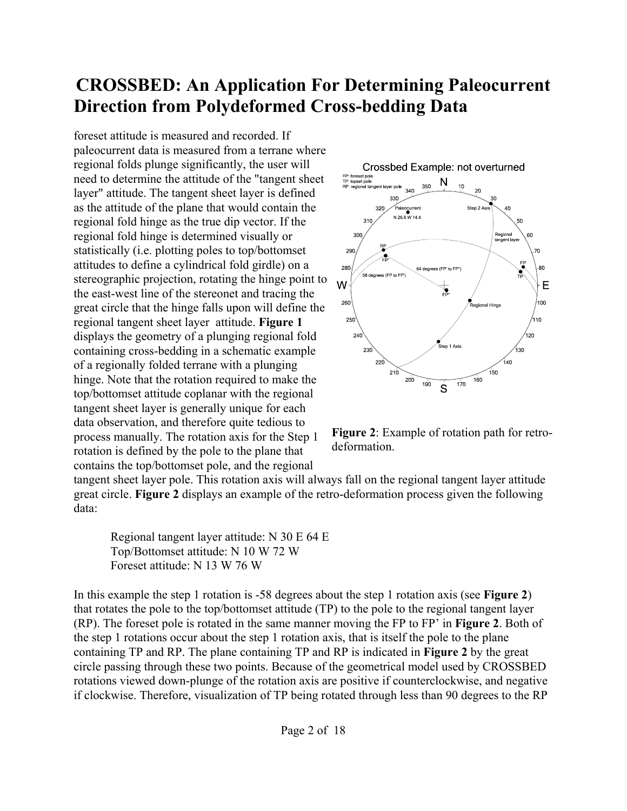foreset attitude is measured and recorded. If paleocurrent data is measured from a terrane where regional folds plunge significantly, the user will need to determine the attitude of the "tangent sheet layer" attitude. The tangent sheet layer is defined as the attitude of the plane that would contain the regional fold hinge as the true dip vector. If the regional fold hinge is determined visually or statistically (i.e. plotting poles to top/bottomset attitudes to define a cylindrical fold girdle) on a stereographic projection, rotating the hinge point to the east-west line of the stereonet and tracing the great circle that the hinge falls upon will define the regional tangent sheet layer attitude. **Figure 1** displays the geometry of a plunging regional fold containing cross-bedding in a schematic example of a regionally folded terrane with a plunging hinge. Note that the rotation required to make the top/bottomset attitude coplanar with the regional tangent sheet layer is generally unique for each data observation, and therefore quite tedious to process manually. The rotation axis for the Step 1 rotation is defined by the pole to the plane that contains the top/bottomset pole, and the regional



**Figure 2**: Example of rotation path for retrodeformation.

tangent sheet layer pole. This rotation axis will always fall on the regional tangent layer attitude great circle. **Figure 2** displays an example of the retro-deformation process given the following data:

Regional tangent layer attitude: N 30 E 64 E Top/Bottomset attitude: N 10 W 72 W Foreset attitude: N 13 W 76 W

In this example the step 1 rotation is -58 degrees about the step 1 rotation axis (see **Figure 2**) that rotates the pole to the top/bottomset attitude (TP) to the pole to the regional tangent layer (RP). The foreset pole is rotated in the same manner moving the FP to FP' in **Figure 2**. Both of the step 1 rotations occur about the step 1 rotation axis, that is itself the pole to the plane containing TP and RP. The plane containing TP and RP is indicated in **Figure 2** by the great circle passing through these two points. Because of the geometrical model used by CROSSBED rotations viewed down-plunge of the rotation axis are positive if counterclockwise, and negative if clockwise. Therefore, visualization of TP being rotated through less than 90 degrees to the RP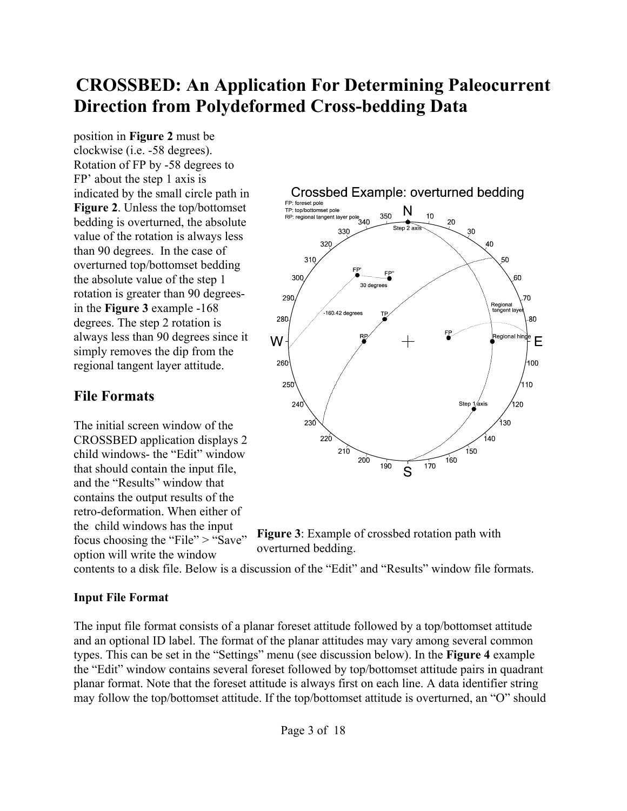position in **Figure 2** must be clockwise (i.e. -58 degrees). Rotation of FP by -58 degrees to FP' about the step 1 axis is indicated by the small circle path in **Figure 2**. Unless the top/bottomset bedding is overturned, the absolute value of the rotation is always less than 90 degrees. In the case of overturned top/bottomset bedding the absolute value of the step 1 rotation is greater than 90 degreesin the **Figure 3** example -168 degrees. The step 2 rotation is always less than 90 degrees since it simply removes the dip from the regional tangent layer attitude.

### **File Formats**

The initial screen window of the CROSSBED application displays 2 child windows- the "Edit" window that should contain the input file, and the "Results" window that contains the output results of the retro-deformation. When either of the child windows has the input focus choosing the "File" > "Save" option will write the window





contents to a disk file. Below is a discussion of the "Edit" and "Results" window file formats.

#### **Input File Format**

The input file format consists of a planar foreset attitude followed by a top/bottomset attitude and an optional ID label. The format of the planar attitudes may vary among several common types. This can be set in the "Settings" menu (see discussion below). In the **Figure 4** example the "Edit" window contains several foreset followed by top/bottomset attitude pairs in quadrant planar format. Note that the foreset attitude is always first on each line. A data identifier string may follow the top/bottomset attitude. If the top/bottomset attitude is overturned, an "O" should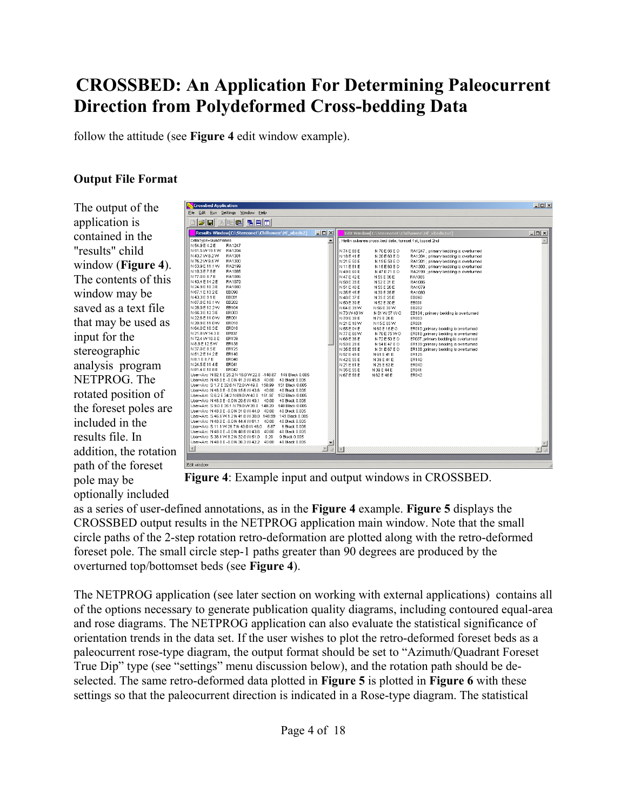follow the attitude (see **Figure 4** edit window example).

#### **Output File Format**

The output of the application is contained in the "results" child window (**Figure 4**). The contents of this window may be saved as a text file that may be used as input for the stereographic analysis program NETPROG. The rotated position of the foreset poles are included in the results file. In addition, the rotation path of the foreset pole may be optionally included

| Results Window[C:\Stereonet\Chilhowee\Hf xbeds2]                                                                                                                                                                                                                                                                                                                                                                                                                                                                                                                                                                                                                                                                                                                                                                                                                                                                                                                                                                                                                                                                                                                                                                                                                                                                                                          | $-10 \times 1$   |                                                                                                                                                                                                                                                                                                                                                                                     |                                                                                                                                                                                                                                                                                                                                                                                                                                                                   | Edit Window[C:\Stereonet\Chilhowee\Hf xbeds.txt]                                                                                                                                                                                                                                                                                                                                                                                                                                                                                                                                                       | $ \Box$ $\times$ |
|-----------------------------------------------------------------------------------------------------------------------------------------------------------------------------------------------------------------------------------------------------------------------------------------------------------------------------------------------------------------------------------------------------------------------------------------------------------------------------------------------------------------------------------------------------------------------------------------------------------------------------------------------------------------------------------------------------------------------------------------------------------------------------------------------------------------------------------------------------------------------------------------------------------------------------------------------------------------------------------------------------------------------------------------------------------------------------------------------------------------------------------------------------------------------------------------------------------------------------------------------------------------------------------------------------------------------------------------------------------|------------------|-------------------------------------------------------------------------------------------------------------------------------------------------------------------------------------------------------------------------------------------------------------------------------------------------------------------------------------------------------------------------------------|-------------------------------------------------------------------------------------------------------------------------------------------------------------------------------------------------------------------------------------------------------------------------------------------------------------------------------------------------------------------------------------------------------------------------------------------------------------------|--------------------------------------------------------------------------------------------------------------------------------------------------------------------------------------------------------------------------------------------------------------------------------------------------------------------------------------------------------------------------------------------------------------------------------------------------------------------------------------------------------------------------------------------------------------------------------------------------------|------------------|
| DataType=QuadPlanes<br>N 54.9 E 4.2 E<br>RA1247<br>N 51.5 W 19.1 W<br>RA1204<br>N 43.7 W 8.2 W<br>RA1301<br>N 76.2 W 9.6 W<br>RA1300<br>N 53.9 E 11.1 W RA2199<br>N10.3E7.8E<br>RA1085<br>N 77 0 F 8 7 F<br>RA1086<br>N 43.4 E 14.2 E<br>RA1079<br>N 24.9 E 10.3 E<br>RA1080<br>N 67.1 E 13.2 E<br>EB090<br>N 43.3 E 9.1 E<br>EB091<br>N 87.8 E 10.1 W<br>EB202<br>N 28 9 E 12.2 W<br>EB104<br>N 56.3 E 12.3 E<br>ER003<br>N 22.6 E 11.0 W<br><b>ER001</b><br>N 20.9 E 11.0 W<br>ER010<br>N 64.0 E 16.3 E<br><b>ER018</b><br>N 21.8 W 14.3 E<br>EP037<br>N 72.4 W 18.0 E<br>ER139<br>N 8.8 E 12.5 W<br>FR138<br>N 37.0 E 8.5 E<br>ER125<br>N 51 2 E 14 2 E<br>FR140<br>N 8.1 E 8.7 E<br>ER040<br>N 24.5 E 11.4 E<br>ER041<br>N 81.4 E 10.8 E<br>ER042<br>User=Arc_N 82.1 E 25.2 N 16.0 W 22.0 -148.87 149 Black 0.005<br>User=Arc N 48.0 E -0.0 N 41.3 W 45.8 40.00<br>40 Black 0.005<br>User=Arc S 1.7 E 32.6 N 72.0 W 49.0 150.99<br>151 Black 0.005<br>User=Arc N 48.0 E -0.0 N 15.6 W 43.6 40.00<br>40 Black 0.005<br>User=Arc S 6.2 E 34.2 N 69.0 W 40.0 151.97<br>152 Black 0.005<br>User=Arc N 48.0 E -0.0 N 29.5 W 49.1 40.00<br>40 Black 0.005<br>User=Arc S 9.0 E 35.1 N 79.0 W 39.0 148.20<br>148 Black 0.005<br>User=Arc N 48.0 E -0.0 N 31.0 W 44.0 40.00<br>40 Black 0.005<br>User=Arc S 46.6 W 1.2 N 41.0 W 30.0 148.99<br>149 Black 0.005 | $\blacktriangle$ | N 74 E 68 E<br>N 18 E 41 E<br>N 21 E 50 E<br>N 11 F 51 F<br>N 49 E 60 E<br>N 47 E 42 E<br>N 58 E 39 E<br>N 51 E 40 E<br>N 35 E 45 E<br>N 46 E 37 E<br>N 50 E 39 E<br>N 64 E 39 W<br>N 73 W 48 W<br>N 70 E 38 E<br>N 21 E 16 W<br>N 55 E 04 E<br>N 77 E 60 W<br>N 68 E 36 E<br>N 53 E 29 E<br>N 35 E 55 E<br>N 57 E 49 E<br>N 42 E 55 E<br>N 21 E 61 E<br>N 35 E 55 E<br>N 67 E 58 E | : Heflin subarea cross-bed data, foreset 1st, topset 2nd<br>N 70 E 66 E O<br>N 20 E 60 E O<br>N 19 E 58 E O<br>N 15 F 60 F O<br>N 47 E 71 E O<br>N 55 E 36 E<br>N 52 E 31 E<br>N 55 E 26 E<br>N 39 E 35 E<br>N 35 E 25 E<br>N 52 E 30 E<br>N 56 E 30 W<br>N 81 W 37 W O<br>N 75 E 26 E<br>N15E05W<br>N 60 E 15 E O<br>N 70 E 75 W O<br>N 72 E 50 E O<br>N 54 E 47 E O<br>N 31 E 67 E O<br>N 61 E 41 E<br>N 39 E 41 E<br>N 25 E 53 E<br>N 39 E 44 E<br>N 62 E 48 E | RA1247 : primary bedding is overturned<br>RA1204 : primary bedding is overturned<br>RA1301 : primary bedding is overturned<br>RA1300; primary bedding is overturned<br>RA2199 :primary bedding is overturned<br>RA1085<br>RA1086<br>RA1079<br>RA1080<br>EB090<br>EB091<br>EB202<br>EB104 ; primary bedding is overturned<br><b>ER003</b><br>ER001<br>ER010 :primary bedding is overturned<br>ER018: primary bedding is overturned<br>EP037 ;primary bedding is overturned<br>ER139 ;primary bedding is overturned<br>ER138 :primary bedding is overturned<br>FR125<br>ER140<br>ER040<br>ER041<br>ER042 |                  |
| User=Arc N 48.0 E-0.0 N 44.4 W 61.1 40.00<br>40 Black 0.005<br>User=Arc S 11.1 W 26.7 N 43.0 W 48.0 5.87<br>6 Black 0.005<br>User=Arc N 48.0 E -0.0 N 48.6 W 43.6 40.00<br>40 Black 0.005<br>User=Arc S 38.1 W 8.2 N 32.0 W 51.0 9.29<br>9 Black 0.005<br>User=Arc N 48.0 E -0.0 N 36.3 W 42.2 40.00<br>40 Black 0.005                                                                                                                                                                                                                                                                                                                                                                                                                                                                                                                                                                                                                                                                                                                                                                                                                                                                                                                                                                                                                                    |                  |                                                                                                                                                                                                                                                                                                                                                                                     |                                                                                                                                                                                                                                                                                                                                                                                                                                                                   |                                                                                                                                                                                                                                                                                                                                                                                                                                                                                                                                                                                                        |                  |

**Figure 4**: Example input and output windows in CROSSBED.

as a series of user-defined annotations, as in the **Figure 4** example. **Figure 5** displays the CROSSBED output results in the NETPROG application main window. Note that the small circle paths of the 2-step rotation retro-deformation are plotted along with the retro-deformed foreset pole. The small circle step-1 paths greater than 90 degrees are produced by the overturned top/bottomset beds (see **Figure 4**).

The NETPROG application (see later section on working with external applications) contains all of the options necessary to generate publication quality diagrams, including contoured equal-area and rose diagrams. The NETPROG application can also evaluate the statistical significance of orientation trends in the data set. If the user wishes to plot the retro-deformed foreset beds as a paleocurrent rose-type diagram, the output format should be set to "Azimuth/Quadrant Foreset True Dip" type (see "settings" menu discussion below), and the rotation path should be deselected. The same retro-deformed data plotted in **Figure 5** is plotted in **Figure 6** with these settings so that the paleocurrent direction is indicated in a Rose-type diagram. The statistical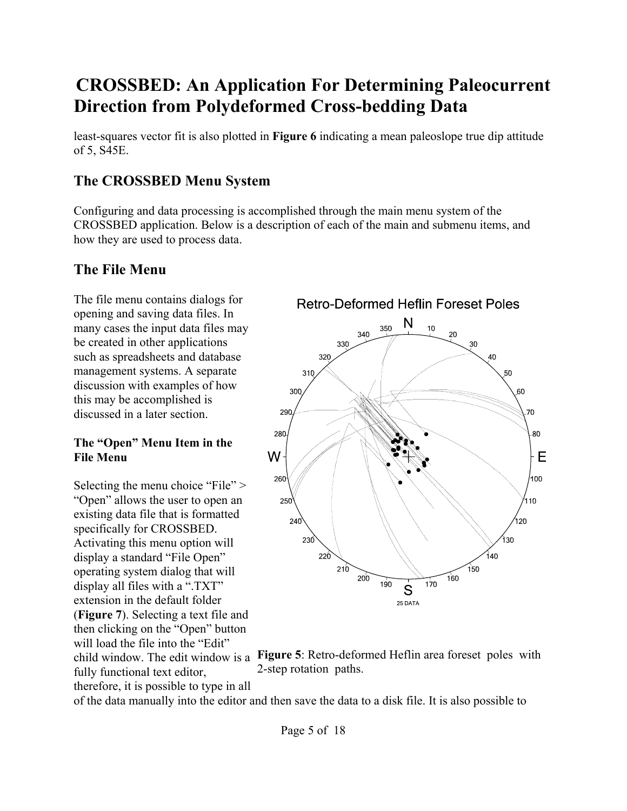least-squares vector fit is also plotted in **Figure 6** indicating a mean paleoslope true dip attitude of 5, S45E.

### **The CROSSBED Menu System**

Configuring and data processing is accomplished through the main menu system of the CROSSBED application. Below is a description of each of the main and submenu items, and how they are used to process data.

### **The File Menu**

The file menu contains dialogs for opening and saving data files. In many cases the input data files may be created in other applications such as spreadsheets and database management systems. A separate discussion with examples of how this may be accomplished is discussed in a later section.

#### **The "Open" Menu Item in the File Menu**

Selecting the menu choice "File" > "Open" allows the user to open an existing data file that is formatted specifically for CROSSBED. Activating this menu option will display a standard "File Open" operating system dialog that will display all files with a ".TXT" extension in the default folder (**Figure 7**). Selecting a text file and then clicking on the "Open" button will load the file into the "Edit" fully functional text editor, therefore, it is possible to type in all





of the data manually into the editor and then save the data to a disk file. It is also possible to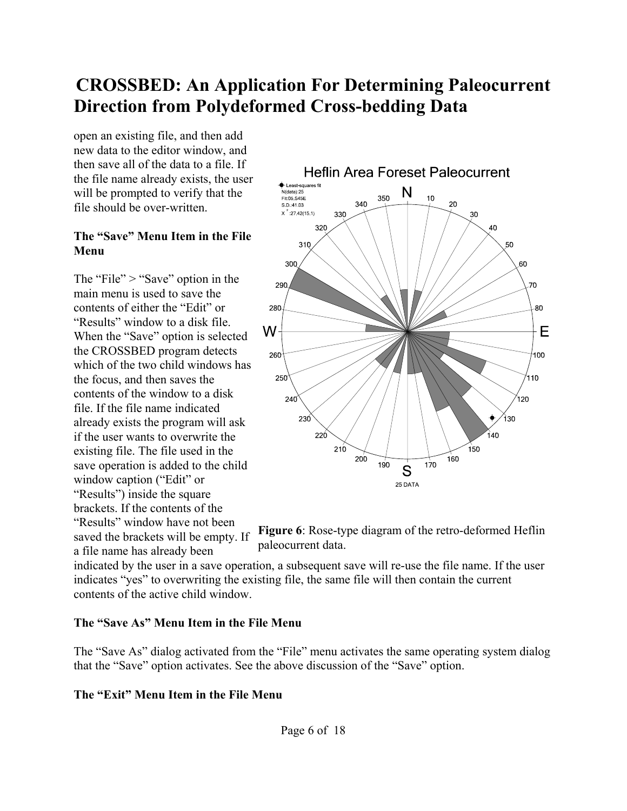open an existing file, and then add new data to the editor window, and then save all of the data to a file. If the file name already exists, the user will be prompted to verify that the file should be over-written.

#### **The "Save" Menu Item in the File Menu**

The "File"  $>$  "Save" option in the main menu is used to save the contents of either the "Edit" or "Results" window to a disk file. When the "Save" option is selected the CROSSBED program detects which of the two child windows has the focus, and then saves the contents of the window to a disk file. If the file name indicated already exists the program will ask if the user wants to overwrite the existing file. The file used in the save operation is added to the child window caption ("Edit" or "Results") inside the square brackets. If the contents of the "Results" window have not been saved the brackets will be empty. If a file name has already been





indicated by the user in a save operation, a subsequent save will re-use the file name. If the user indicates "yes" to overwriting the existing file, the same file will then contain the current contents of the active child window.

#### **The "Save As" Menu Item in the File Menu**

The "Save As" dialog activated from the "File" menu activates the same operating system dialog that the "Save" option activates. See the above discussion of the "Save" option.

#### **The "Exit" Menu Item in the File Menu**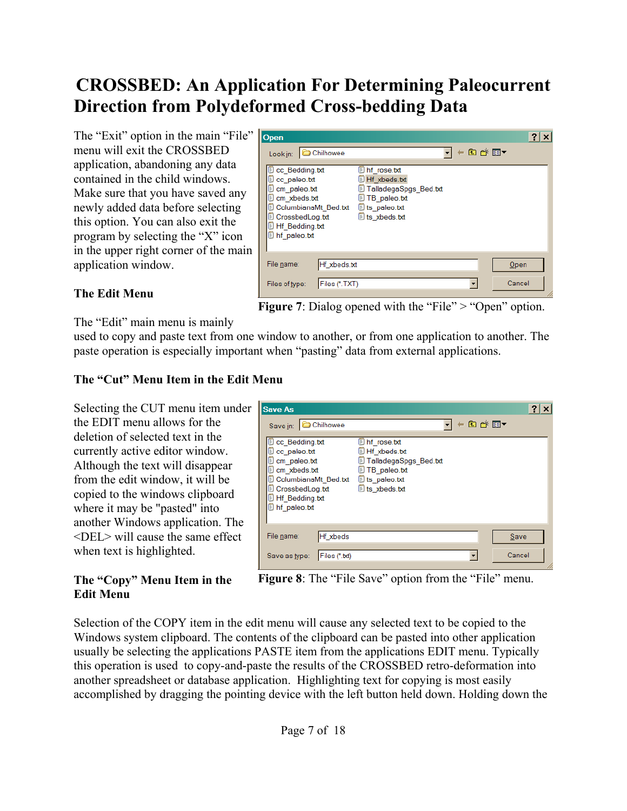The "Exit" option in the main "File" menu will exit the CROSSBED application, abandoning any data contained in the child windows. Make sure that you have saved any newly added data before selecting this option. You can also exit the program by selecting the "X" icon in the upper right corner of the main application window.



#### **The Edit Menu**

**Figure 7**: Dialog opened with the "File" > "Open" option.

The "Edit" main menu is mainly

used to copy and paste text from one window to another, or from one application to another. The paste operation is especially important when "pasting" data from external applications.

Save As

#### **The "Cut" Menu Item in the Edit Menu**

Selecting the CUT menu item under the EDIT menu allows for the deletion of selected text in the currently active editor window. Although the text will disappear from the edit window, it will be copied to the windows clipboard where it may be "pasted" into another Windows application. The  $\le$ DEL $>$  will cause the same effect when text is highlighted.

#### Save in: Chilhowee न ← © o\* ▼ Cc Bedding.txt Inf rose.txt C c paleo.txt Hf xbeds.txt cm\_paleo.txt TalladegaSpgs\_Bed.txt cm xbeds.txt **D** TB paleo.txt ColumbianaMt Bed.txt is paleo.txt CrossbedLog.txt is\_xbeds.txt **If** Bedding.txt **Di** hf\_paleo.txt File name: Hf\_xbeds Save Files (\*.bd)  $\overline{\phantom{a}}$ Cancel Save as type:

 $|?|x|$ 

#### **The "Copy" Menu Item in the Edit Menu**



Selection of the COPY item in the edit menu will cause any selected text to be copied to the Windows system clipboard. The contents of the clipboard can be pasted into other application usually be selecting the applications PASTE item from the applications EDIT menu. Typically this operation is used to copy-and-paste the results of the CROSSBED retro-deformation into another spreadsheet or database application. Highlighting text for copying is most easily accomplished by dragging the pointing device with the left button held down. Holding down the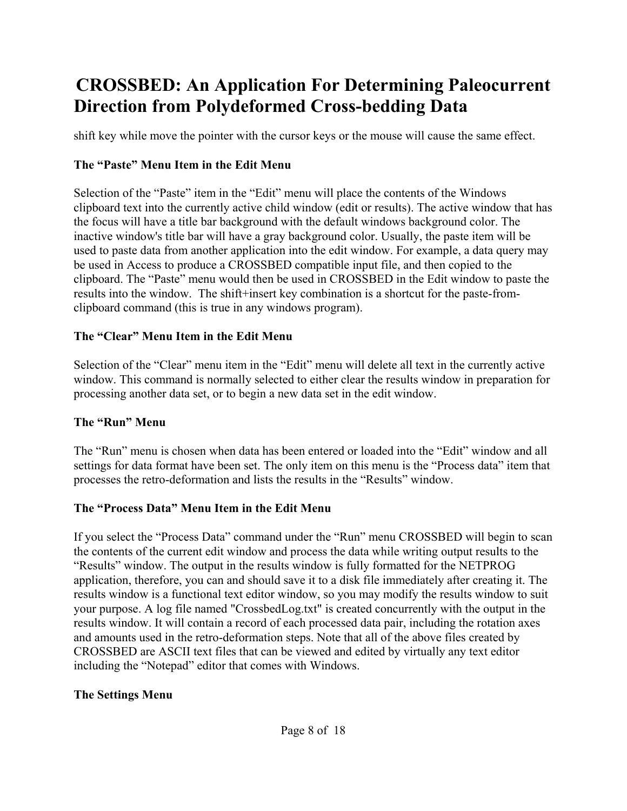shift key while move the pointer with the cursor keys or the mouse will cause the same effect.

### **The "Paste" Menu Item in the Edit Menu**

Selection of the "Paste" item in the "Edit" menu will place the contents of the Windows clipboard text into the currently active child window (edit or results). The active window that has the focus will have a title bar background with the default windows background color. The inactive window's title bar will have a gray background color. Usually, the paste item will be used to paste data from another application into the edit window. For example, a data query may be used in Access to produce a CROSSBED compatible input file, and then copied to the clipboard. The "Paste" menu would then be used in CROSSBED in the Edit window to paste the results into the window. The shift+insert key combination is a shortcut for the paste-fromclipboard command (this is true in any windows program).

#### **The "Clear" Menu Item in the Edit Menu**

Selection of the "Clear" menu item in the "Edit" menu will delete all text in the currently active window. This command is normally selected to either clear the results window in preparation for processing another data set, or to begin a new data set in the edit window.

### **The "Run" Menu**

The "Run" menu is chosen when data has been entered or loaded into the "Edit" window and all settings for data format have been set. The only item on this menu is the "Process data" item that processes the retro-deformation and lists the results in the "Results" window.

### **The "Process Data" Menu Item in the Edit Menu**

If you select the "Process Data" command under the "Run" menu CROSSBED will begin to scan the contents of the current edit window and process the data while writing output results to the "Results" window. The output in the results window is fully formatted for the NETPROG application, therefore, you can and should save it to a disk file immediately after creating it. The results window is a functional text editor window, so you may modify the results window to suit your purpose. A log file named "CrossbedLog.txt" is created concurrently with the output in the results window. It will contain a record of each processed data pair, including the rotation axes and amounts used in the retro-deformation steps. Note that all of the above files created by CROSSBED are ASCII text files that can be viewed and edited by virtually any text editor including the "Notepad" editor that comes with Windows.

#### **The Settings Menu**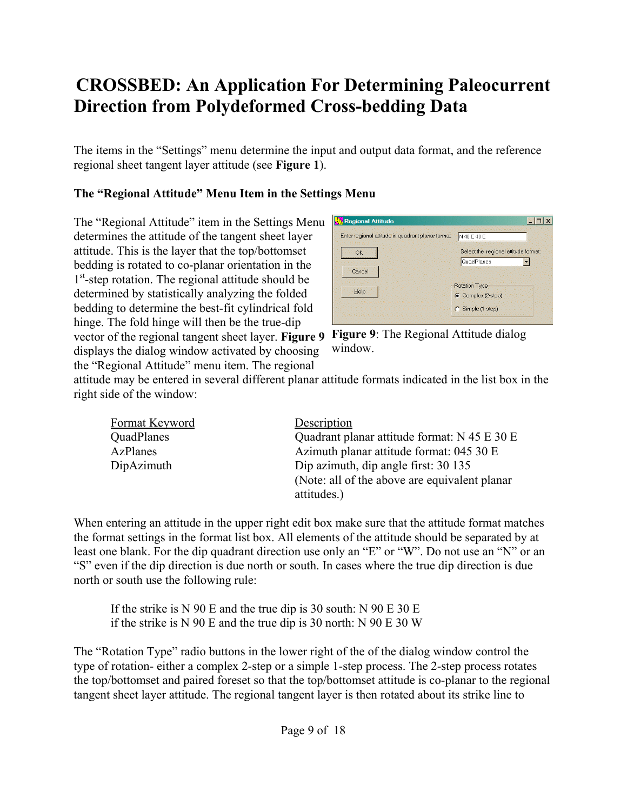The items in the "Settings" menu determine the input and output data format, and the reference regional sheet tangent layer attitude (see **Figure 1**).

#### **The "Regional Attitude" Menu Item in the Settings Menu**

vector of the regional tangent sheet layer. Figure 9 Figure 9: The Regional Attitude dialog The "Regional Attitude" item in the Settings Menu determines the attitude of the tangent sheet layer attitude. This is the layer that the top/bottomset bedding is rotated to co-planar orientation in the 1<sup>st</sup>-step rotation. The regional attitude should be determined by statistically analyzing the folded bedding to determine the best-fit cylindrical fold hinge. The fold hinge will then be the true-dip displays the dialog window activated by choosing the "Regional Attitude" menu item. The regional

| N 48 E 40 E                                        |
|----------------------------------------------------|
| Select the regional attitude format:<br>QuadPlanes |
|                                                    |
| <b>Rotation Type</b><br>C Complex (2-step)         |
| C Simple (1-step)                                  |
|                                                    |

window.

attitude may be entered in several different planar attitude formats indicated in the list box in the right side of the window:

| Format Keyword | Description                                    |  |  |  |  |
|----------------|------------------------------------------------|--|--|--|--|
| QuadPlanes     | Quadrant planar attitude format: N 45 E 30 E   |  |  |  |  |
| AzPlanes       | Azimuth planar attitude format: 045 30 E       |  |  |  |  |
| DipAzimuth     | Dip azimuth, dip angle first: 30 135           |  |  |  |  |
|                | (Note: all of the above are equivalent planar) |  |  |  |  |
|                | attitudes.)                                    |  |  |  |  |

When entering an attitude in the upper right edit box make sure that the attitude format matches the format settings in the format list box. All elements of the attitude should be separated by at least one blank. For the dip quadrant direction use only an "E" or "W". Do not use an "N" or an "S" even if the dip direction is due north or south. In cases where the true dip direction is due north or south use the following rule:

If the strike is N 90 E and the true dip is 30 south: N 90 E 30 E if the strike is N 90 E and the true dip is 30 north: N 90 E 30 W

The "Rotation Type" radio buttons in the lower right of the of the dialog window control the type of rotation- either a complex 2-step or a simple 1-step process. The 2-step process rotates the top/bottomset and paired foreset so that the top/bottomset attitude is co-planar to the regional tangent sheet layer attitude. The regional tangent layer is then rotated about its strike line to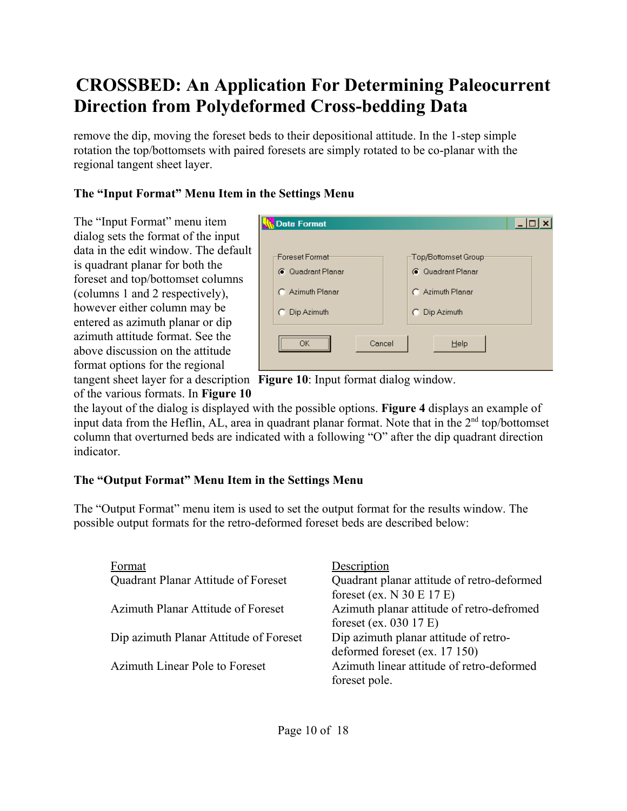remove the dip, moving the foreset beds to their depositional attitude. In the 1-step simple rotation the top/bottomsets with paired foresets are simply rotated to be co-planar with the regional tangent sheet layer.

### **The "Input Format" Menu Item in the Settings Menu**

The "Input Format" menu item dialog sets the format of the input data in the edit window. The default is quadrant planar for both the foreset and top/bottomset columns (columns 1 and 2 respectively), however either column may be entered as azimuth planar or dip azimuth attitude format. See the above discussion on the attitude format options for the regional

| <b>Data Format</b>                                                                           | L.                                                                                                 |
|----------------------------------------------------------------------------------------------|----------------------------------------------------------------------------------------------------|
| Foreset Format <sup>.</sup><br><b>G</b> Quadrant Planar<br>C Azimuth Planar<br>C Dip Azimuth | -Top/Bottomset Group <sup>.</sup><br><b>6</b> Quadrant Planar<br>C Azimuth Planar<br>C Dip Azimuth |
| Cancel                                                                                       | Help                                                                                               |

tangent sheet layer for a description Figure 10: Input format dialog window. of the various formats. In **Figure 10**

the layout of the dialog is displayed with the possible options. **Figure 4** displays an example of input data from the Heflin, AL, area in quadrant planar format. Note that in the 2<sup>nd</sup> top/bottomset column that overturned beds are indicated with a following "O" after the dip quadrant direction indicator.

### **The "Output Format" Menu Item in the Settings Menu**

The "Output Format" menu item is used to set the output format for the results window. The possible output formats for the retro-deformed foreset beds are described below:

| Format                                 | Description                                |
|----------------------------------------|--------------------------------------------|
| Quadrant Planar Attitude of Foreset    | Quadrant planar attitude of retro-deformed |
|                                        | foreset (ex. $N$ 30 E 17 E)                |
| Azimuth Planar Attitude of Foreset     | Azimuth planar attitude of retro-defromed  |
|                                        | foreset (ex. 030 17 E)                     |
| Dip azimuth Planar Attitude of Foreset | Dip azimuth planar attitude of retro-      |
|                                        | deformed foreset (ex. 17 150)              |
| Azimuth Linear Pole to Foreset         | Azimuth linear attitude of retro-deformed  |
|                                        | foreset pole.                              |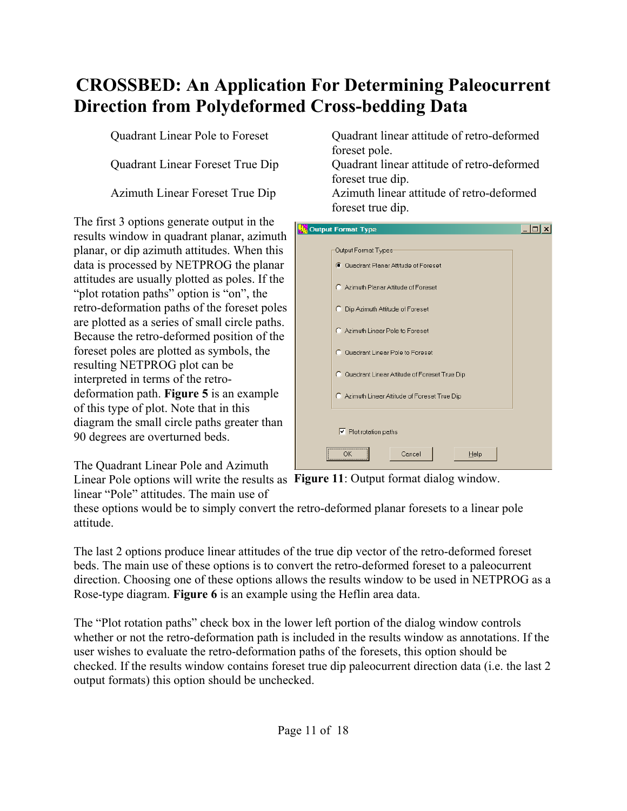The first 3 options generate output in the results window in quadrant planar, azimuth planar, or dip azimuth attitudes. When this data is processed by NETPROG the planar attitudes are usually plotted as poles. If the "plot rotation paths" option is "on", the retro-deformation paths of the foreset poles are plotted as a series of small circle paths. Because the retro-deformed position of the foreset poles are plotted as symbols, the resulting NETPROG plot can be interpreted in terms of the retrodeformation path. **Figure 5** is an example of this type of plot. Note that in this diagram the small circle paths greater than 90 degrees are overturned beds.

The Quadrant Linear Pole and Azimuth

linear "Pole" attitudes. The main use of

Quadrant Linear Pole to Foreset Quadrant linear attitude of retro-deformed foreset pole.

Quadrant Linear Foreset True Dip Quadrant linear attitude of retro-deformed foreset true dip.

Azimuth Linear Foreset True Dip Azimuth linear attitude of retro-deformed foreset true dip.



Linear Pole options will write the results as Figure 11: Output format dialog window.

these options would be to simply convert the retro-deformed planar foresets to a linear pole attitude.

The last 2 options produce linear attitudes of the true dip vector of the retro-deformed foreset beds. The main use of these options is to convert the retro-deformed foreset to a paleocurrent direction. Choosing one of these options allows the results window to be used in NETPROG as a Rose-type diagram. **Figure 6** is an example using the Heflin area data.

The "Plot rotation paths" check box in the lower left portion of the dialog window controls whether or not the retro-deformation path is included in the results window as annotations. If the user wishes to evaluate the retro-deformation paths of the foresets, this option should be checked. If the results window contains foreset true dip paleocurrent direction data (i.e. the last 2 output formats) this option should be unchecked.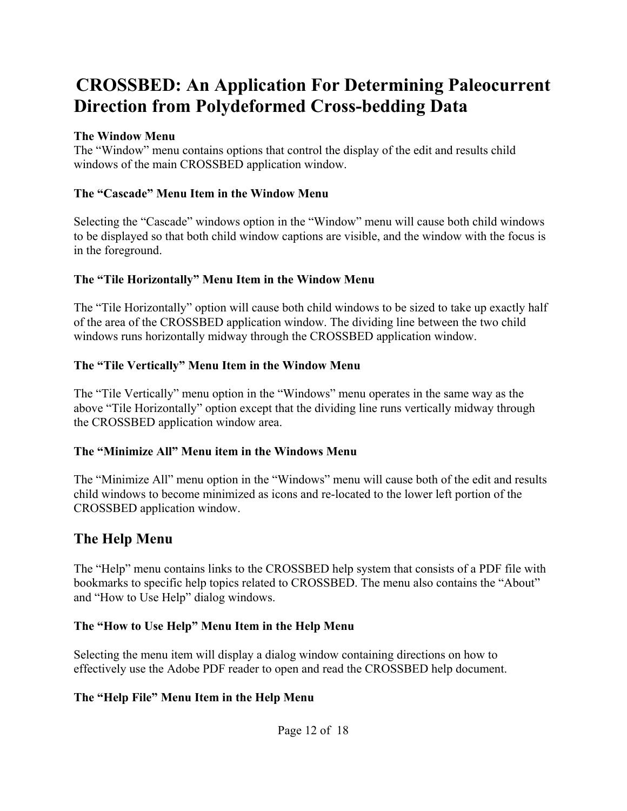#### **The Window Menu**

The "Window" menu contains options that control the display of the edit and results child windows of the main CROSSBED application window.

#### **The "Cascade" Menu Item in the Window Menu**

Selecting the "Cascade" windows option in the "Window" menu will cause both child windows to be displayed so that both child window captions are visible, and the window with the focus is in the foreground.

#### **The "Tile Horizontally" Menu Item in the Window Menu**

The "Tile Horizontally" option will cause both child windows to be sized to take up exactly half of the area of the CROSSBED application window. The dividing line between the two child windows runs horizontally midway through the CROSSBED application window.

#### **The "Tile Vertically" Menu Item in the Window Menu**

The "Tile Vertically" menu option in the "Windows" menu operates in the same way as the above "Tile Horizontally" option except that the dividing line runs vertically midway through the CROSSBED application window area.

#### **The "Minimize All" Menu item in the Windows Menu**

The "Minimize All" menu option in the "Windows" menu will cause both of the edit and results child windows to become minimized as icons and re-located to the lower left portion of the CROSSBED application window.

### **The Help Menu**

The "Help" menu contains links to the CROSSBED help system that consists of a PDF file with bookmarks to specific help topics related to CROSSBED. The menu also contains the "About" and "How to Use Help" dialog windows.

### **The "How to Use Help" Menu Item in the Help Menu**

Selecting the menu item will display a dialog window containing directions on how to effectively use the Adobe PDF reader to open and read the CROSSBED help document.

### **The "Help File" Menu Item in the Help Menu**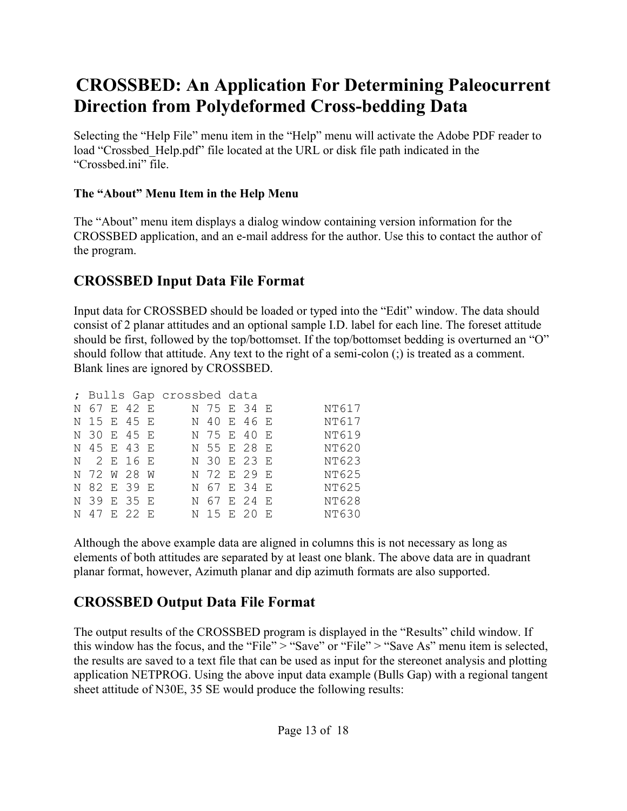Selecting the "Help File" menu item in the "Help" menu will activate the Adobe PDF reader to load "Crossbed\_Help.pdf" file located at the URL or disk file path indicated in the "Crossbed.ini" file.

### **The "About" Menu Item in the Help Menu**

The "About" menu item displays a dialog window containing version information for the CROSSBED application, and an e-mail address for the author. Use this to contact the author of the program.

### **CROSSBED Input Data File Format**

Input data for CROSSBED should be loaded or typed into the "Edit" window. The data should consist of 2 planar attitudes and an optional sample I.D. label for each line. The foreset attitude should be first, followed by the top/bottomset. If the top/bottomset bedding is overturned an "O" should follow that attitude. Any text to the right of a semi-colon (;) is treated as a comment. Blank lines are ignored by CROSSBED.

| ; Bulls Gap crossbed data |  |             |  |  |             |  |  |              |
|---------------------------|--|-------------|--|--|-------------|--|--|--------------|
|                           |  | N 67 E 42 E |  |  | N 75 E 34 E |  |  | NT617        |
|                           |  | N 15 E 45 E |  |  | N 40 E 46 E |  |  | NT617        |
|                           |  | N 30 E 45 E |  |  | N 75 E 40 E |  |  | NT619        |
|                           |  | N 45 E 43 E |  |  | N 55 E 28 E |  |  | NT620        |
|                           |  | N 2 E 16 E  |  |  | N 30 E 23 E |  |  | NT623        |
|                           |  | N 72 W 28 W |  |  | N 72 E 29 E |  |  | NT625        |
|                           |  | N 82 E 39 E |  |  | N 67 E 34 E |  |  | NT625        |
|                           |  | N 39 E 35 E |  |  | N 67 E 24 E |  |  | NT628        |
|                           |  | N 47 E 22 E |  |  | N 15 E 20 E |  |  | <b>NT630</b> |

Although the above example data are aligned in columns this is not necessary as long as elements of both attitudes are separated by at least one blank. The above data are in quadrant planar format, however, Azimuth planar and dip azimuth formats are also supported.

### **CROSSBED Output Data File Format**

The output results of the CROSSBED program is displayed in the "Results" child window. If this window has the focus, and the "File" > "Save" or "File" > "Save As" menu item is selected, the results are saved to a text file that can be used as input for the stereonet analysis and plotting application NETPROG. Using the above input data example (Bulls Gap) with a regional tangent sheet attitude of N30E, 35 SE would produce the following results: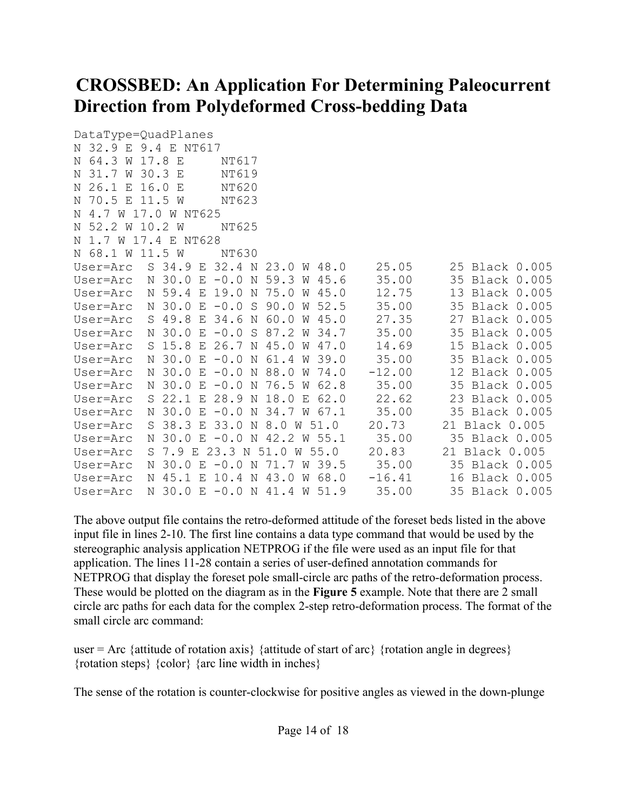```
DataType=QuadPlanes
N 32.9 E 9.4 E NT617
N 64.3 W 17.8 E NT617
N 31.7 W 30.3 E NT619
N 26.1 E 16.0 E NT620
N 70.5 E 11.5 W NT623
N 4.7 W 17.0 W NT625
N 52.2 W 10.2 W NT625
N 1.7 W 17.4 E NT628
N 68.1 W 11.5 W NT630
User=Arc S 34.9 E 32.4 N 23.0 W 48.0 25.05 25 Black 0.005
User=Arc N 30.0 E -0.0 N 59.3 W 45.6 35.00 35 Black 0.005<br>User=Arc N 59.4 E 19.0 N 75.0 W 45.0 12.75 13 Black 0.005
User=Arc N 59.4 E 19.0 N 75.0 W 45.0 12.75 13 Black 0.005
User=Arc N 30.0 E -0.0 S 90.0 W 52.5 35.00 35 Black 0.005
User=Arc S 49.8 E 34.6 N 60.0 W 45.0 27.35 27 Black 0.005
User=Arc N 30.0 E -0.0 S 87.2 W 34.7 35.00 35 Black 0.005
User=Arc S 15.8 E 26.7 N 45.0 W 47.0 14.69 15 Black 0.005
User=Arc N 30.0 E -0.0 N 61.4 W 39.0 35.00 35 Black 0.005
User=Arc N 30.0 E -0.0 N 88.0 W 74.0 -12.00 12 Black 0.005
User=Arc N 30.0 E -0.0 N 76.5 W 62.8 35.00 35 Black 0.005
User=Arc S 22.1 E 28.9 N 18.0 E 62.0 22.62 23 Black 0.005
User=Arc N 30.0 E -0.0 N 34.7 W 67.1 35.00 35 Black 0.005
User=Arc S 38.3 E 33.0 N 8.0 W 51.0 20.73 21 Black 0.005
User=Arc N 30.0 E -0.0 N 42.2 W 55.1 35.00 35 Black 0.005
User=Arc S 7.9 E 23.3 N 51.0 W 55.0 20.83 21 Black 0.005
User=Arc N 30.0 E -0.0 N 71.7 W 39.5 35.00 35 Black 0.005
User=Arc N 45.1 E 10.4 N 43.0 W 68.0 -16.41 16 Black 0.005<br>User=Arc N 30.0 E -0.0 N 41.4 W 51.9 35.00 35 Black 0.005
User=Arc N 30.0 E -0.0 N 41.4 W 51.9
```
The above output file contains the retro-deformed attitude of the foreset beds listed in the above input file in lines 2-10. The first line contains a data type command that would be used by the stereographic analysis application NETPROG if the file were used as an input file for that application. The lines 11-28 contain a series of user-defined annotation commands for NETPROG that display the foreset pole small-circle arc paths of the retro-deformation process. These would be plotted on the diagram as in the **Figure 5** example. Note that there are 2 small circle arc paths for each data for the complex 2-step retro-deformation process. The format of the small circle arc command:

user = Arc {attitude of rotation axis} {attitude of start of arc} {rotation angle in degrees} {rotation steps} {color} {arc line width in inches}

The sense of the rotation is counter-clockwise for positive angles as viewed in the down-plunge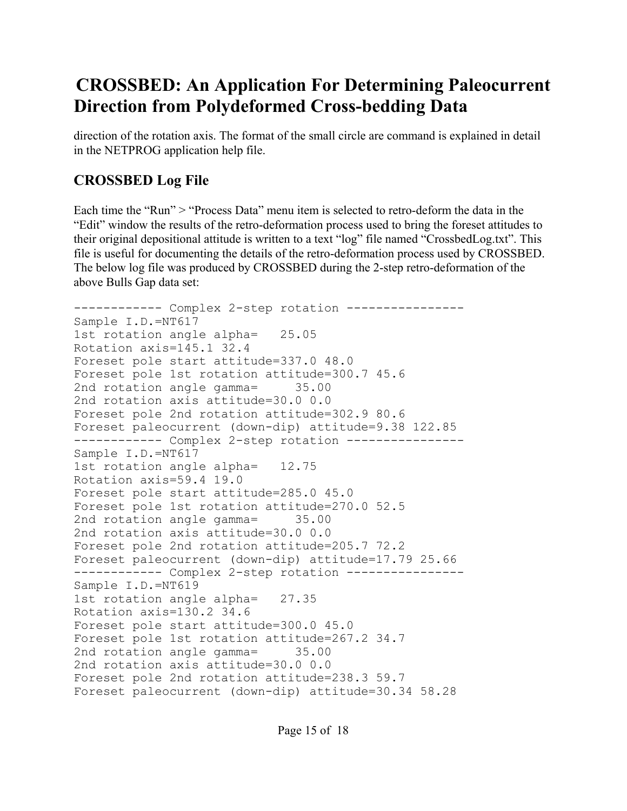direction of the rotation axis. The format of the small circle are command is explained in detail in the NETPROG application help file.

### **CROSSBED Log File**

Each time the "Run" > "Process Data" menu item is selected to retro-deform the data in the "Edit" window the results of the retro-deformation process used to bring the foreset attitudes to their original depositional attitude is written to a text "log" file named "CrossbedLog.txt". This file is useful for documenting the details of the retro-deformation process used by CROSSBED. The below log file was produced by CROSSBED during the 2-step retro-deformation of the above Bulls Gap data set:

```
------------ Complex 2-step rotation ----------------
Sample I.D.=NT617
1st rotation angle alpha= 25.05
Rotation axis=145.1 32.4
Foreset pole start attitude=337.0 48.0
Foreset pole 1st rotation attitude=300.7 45.6
2nd rotation angle gamma= 35.00
2nd rotation axis attitude=30.0 0.0
Foreset pole 2nd rotation attitude=302.9 80.6
Foreset paleocurrent (down-dip) attitude=9.38 122.85
------------ Complex 2-step rotation ----------------
Sample I.D.=NT617
1st rotation angle alpha= 12.75
Rotation axis=59.4 19.0
Foreset pole start attitude=285.0 45.0
Foreset pole 1st rotation attitude=270.0 52.5
2nd rotation angle gamma= 35.00
2nd rotation axis attitude=30.0 0.0
Foreset pole 2nd rotation attitude=205.7 72.2
Foreset paleocurrent (down-dip) attitude=17.79 25.66
------------ Complex 2-step rotation ----------------
Sample I.D.=NT619
1st rotation angle alpha= 27.35
Rotation axis=130.2 34.6
Foreset pole start attitude=300.0 45.0
Foreset pole 1st rotation attitude=267.2 34.7
2nd rotation angle gamma= 35.00
2nd rotation axis attitude=30.0 0.0
Foreset pole 2nd rotation attitude=238.3 59.7
Foreset paleocurrent (down-dip) attitude=30.34 58.28
```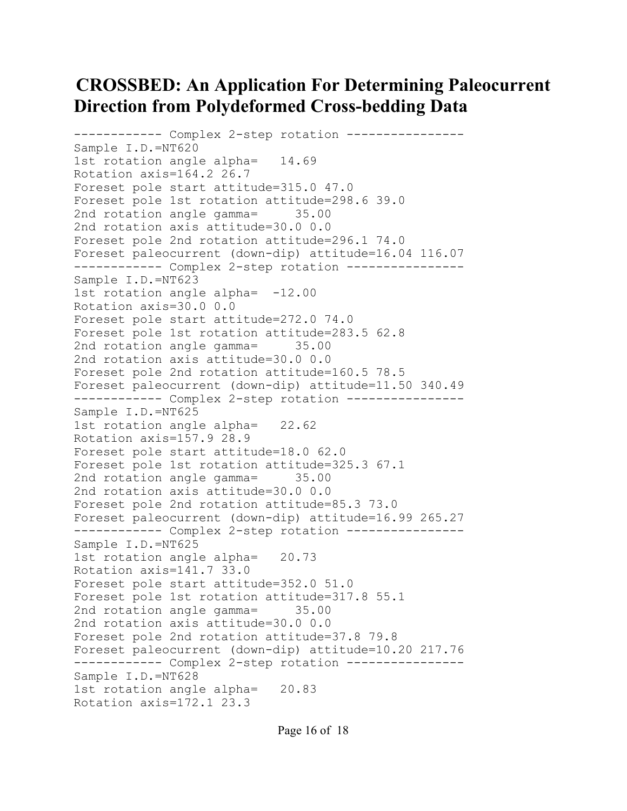```
------------ Complex 2-step rotation ----------------
Sample I.D.=NT620
1st rotation angle alpha= 14.69
Rotation axis=164.2 26.7
Foreset pole start attitude=315.0 47.0
Foreset pole 1st rotation attitude=298.6 39.0
2nd rotation angle gamma= 35.00
2nd rotation axis attitude=30.0 0.0
Foreset pole 2nd rotation attitude=296.1 74.0
Foreset paleocurrent (down-dip) attitude=16.04 116.07
------------ Complex 2-step rotation ----------------
Sample I.D.=NT623
1st rotation angle alpha= -12.00
Rotation axis=30.0 0.0
Foreset pole start attitude=272.0 74.0
Foreset pole 1st rotation attitude=283.5 62.8
2nd rotation angle gamma= 35.00
2nd rotation axis attitude=30.0 0.0
Foreset pole 2nd rotation attitude=160.5 78.5
Foreset paleocurrent (down-dip) attitude=11.50 340.49
------------ Complex 2-step rotation ----------------
Sample I.D.=NT625
1st rotation angle alpha= 22.62
Rotation axis=157.9 28.9
Foreset pole start attitude=18.0 62.0
Foreset pole 1st rotation attitude=325.3 67.1
2nd rotation angle gamma= 35.00
2nd rotation axis attitude=30.0 0.0
Foreset pole 2nd rotation attitude=85.3 73.0
Foreset paleocurrent (down-dip) attitude=16.99 265.27
------------ Complex 2-step rotation ----------------
Sample I.D.=NT625
1st rotation angle alpha= 20.73
Rotation axis=141.7 33.0
Foreset pole start attitude=352.0 51.0
Foreset pole 1st rotation attitude=317.8 55.1
2nd rotation angle gamma= 35.00
2nd rotation axis attitude=30.0 0.0
Foreset pole 2nd rotation attitude=37.8 79.8
Foreset paleocurrent (down-dip) attitude=10.20 217.76
------------ Complex 2-step rotation ----------------
Sample I.D.=NT628
1st rotation angle alpha= 20.83
Rotation axis=172.1 23.3
```
Page 16 of 18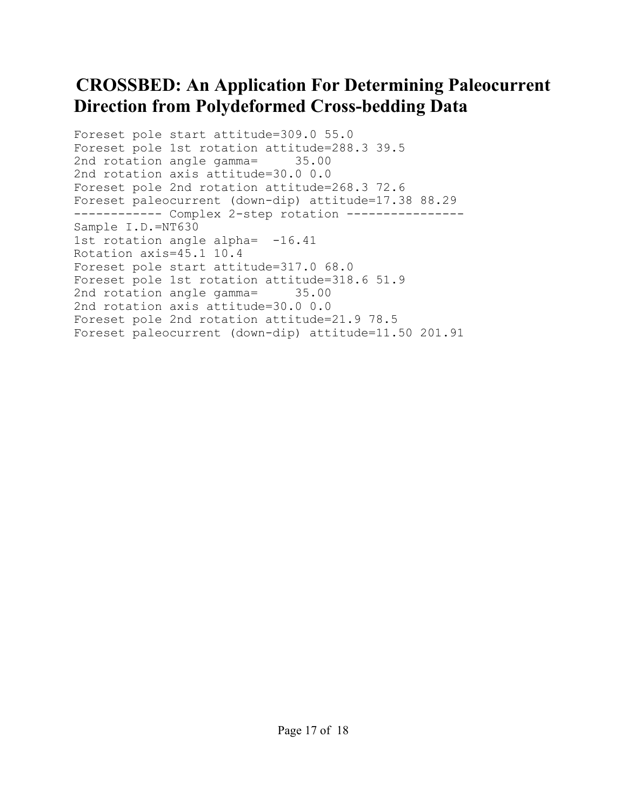```
Foreset pole start attitude=309.0 55.0
Foreset pole 1st rotation attitude=288.3 39.5
2nd rotation angle gamma= 35.00
2nd rotation axis attitude=30.0 0.0
Foreset pole 2nd rotation attitude=268.3 72.6
Foreset paleocurrent (down-dip) attitude=17.38 88.29
------------ Complex 2-step rotation ----------------
Sample I.D.=NT630
1st rotation angle alpha= -16.41
Rotation axis=45.1 10.4
Foreset pole start attitude=317.0 68.0
Foreset pole 1st rotation attitude=318.6 51.9
2nd rotation angle gamma= 35.00
2nd rotation axis attitude=30.0 0.0
Foreset pole 2nd rotation attitude=21.9 78.5
Foreset paleocurrent (down-dip) attitude=11.50 201.91
```